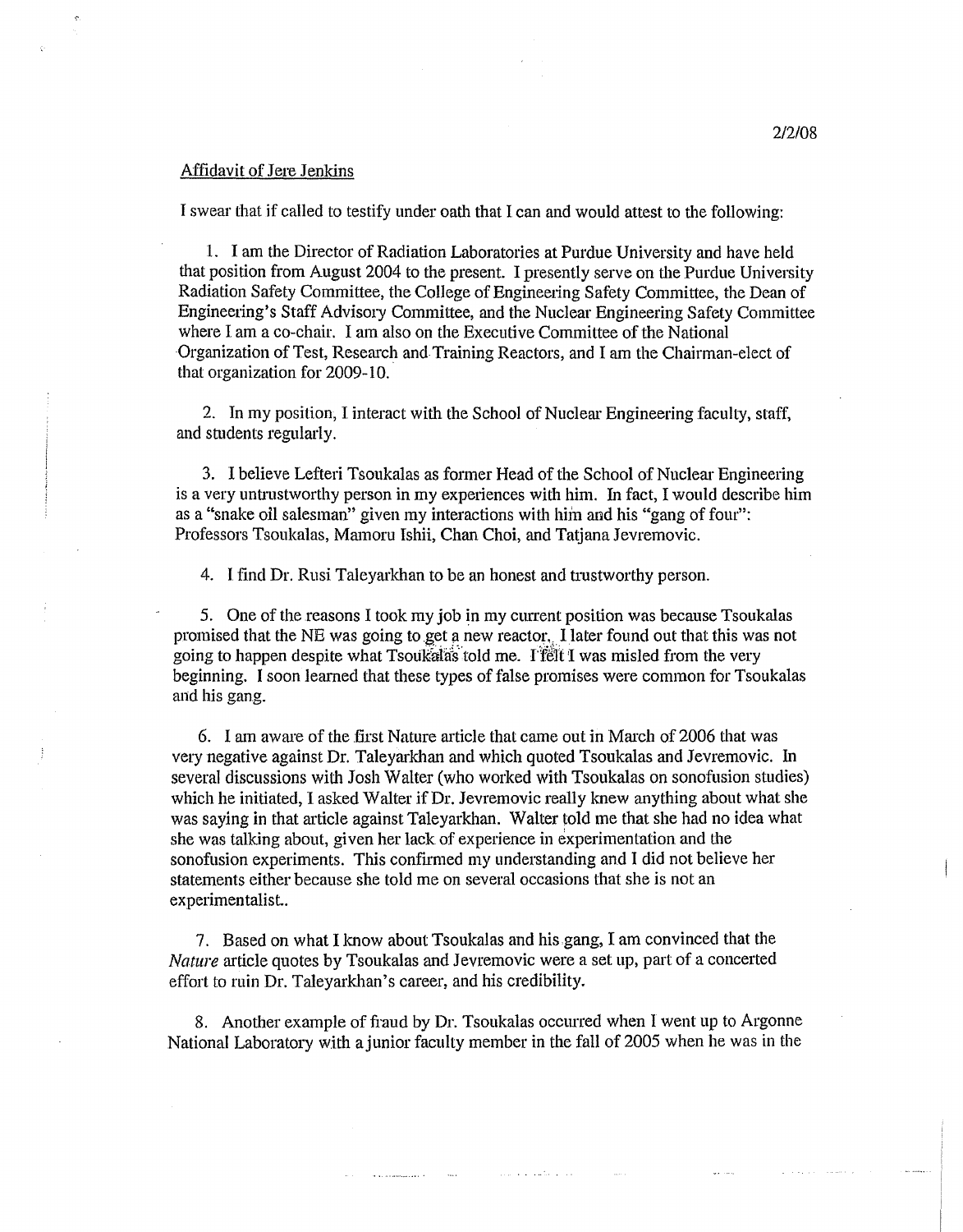## Affidavit of Jere Jenkins

I swear that if called to testify under oath that I can and would attest to the following:

1. I am the Director of Radiation Laboratories at Purdue University and have held that position from August 2004 to the present. I presently serve on the Purdue University Radiation Safety Committee, the College of Engineering Safety Committee, the Dean of Engineering's Staff Advisory Committee, and the Nuclear Engineering Safety Committee where I am a co-chair. I am also on the Executive Committee of the National Organization of Test, Research and·Training Reactors, and I am the Chairman-elect of that organization for 2009-10..

2. In my position, I interact with the School of Nuclear Engineering faculty, staff, and students regularly.

3. I believe Lefteri Tsoukalas as former Head of the School of Nuclear Engineering is a very untrustworthy person in my experiences with him. In fact, I would describe him as a "snake oil salesman" given my interactions with him and his "gang of four": Professors Tsoukalas, Mamoru Ishii, Chan Choi, and Tatjana Jevremovic.

4. I find Dr. Rusi Taleyarkhan to be an honest and trustworthy person.

5. One of the reasons I took my job in my current position was because Tsoukalas promised that the NE was going to get a new reactor., I later found out that this was not going to happen despite what Tsoukalas told me. I felt I was misled from the very beginning. I soon learned that these types of false promises were common for Tsoukalas and his gang.

6. I am aware of the first Nature article that came out in March of 2006 that was very negative against Dr. Taleyarkhan and which quoted Tsoukalas and Jevremovic. In several discussions with Josh Walter (who worked with Tsoukalas on sonofusion studies) which he initiated, I asked Walter if Dr. Jevremovic really knew anything about what she was saying in that article against Taleyarkhan. Walter told me that she had no idea what she was talking about, given her lack of experience in experimentation and the sonofusion experiments. This confirmed my understanding and I did not believe her statements either because she told me on several occasions that she is not an experimentalist..

7. Based on what I know about Tsoukalas and his gang, I am convinced that the *Nature* article quotes by Tsoukalas and Jevremovic were a set up, part of a concerted effort to ruin Dr. Taleyarkhan's career, and his credibility.

8. Another example of fraud by Dr. Tsoukalas occurred when I went up to Argonne National Laboratory with ajunior faculty member in the fall of 2005 when he was in the

and the country of the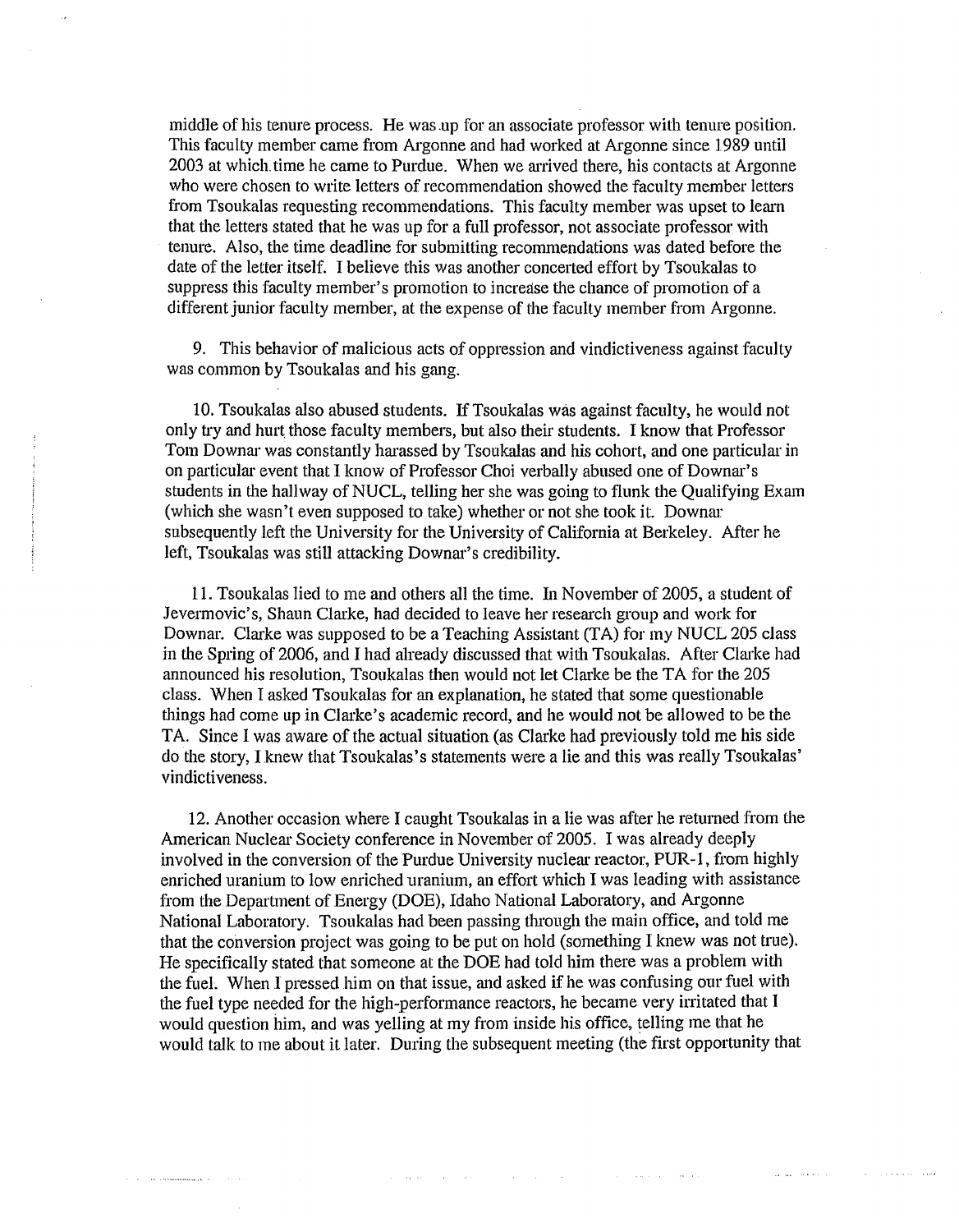middle of his tenure process. He was.up for an associate professor with tenure position. This faculty member came from Argonne and had worked at Argonne since 1989 until 2003 at which. time he came to Purdue. When we arrived there, his contacts at Argonne who were chosen to write letters of recommendation showed the faculty member letters from Tsoukalas requesting recommendations. This faculty member was upset to learn that the letters stated that he was up for a full professor, not associate professor with tenure. Also, the time deadline for submitting recommendations was dated before the date of the letter itself. I believe this was another concerted effort by Tsoukalas to suppress this faculty member's promotion to increase the chance of promotion of a different junior faculty member, at the expense of the faculty member from Argonne.

9. This behavior of malicious acts of oppression and vindictiveness against faculty was common by Tsoukalas and his gang.

10. Tsoukalas also abused students. If Tsoukalas was against faculty, he would not only try and hurt those faculty members, but also their students. I know that Professor Tom Downar was constantly harassed by Tsoukalas and his cohort, and one particular in on particular event that I know of Professor Choi verbally abused one of Downar's students in the hallway of NUCL, telling her she was going to flunk the Qualifying Exam (which she wasn't even supposed to take) whether or not she took it. Downar subsequently left the University for the University of California at Berkeley. After he left, Tsoukalas was still attacking Downar's credibility.

11. Tsoukalas lied to me and others all the time. In November of 2005, a student of Jevermovic's, Shaun Clarke, had decided to leave her research group and work for Downar. Clarke was supposed to be a Teaching Assistant (TA) for my NUCL 205 class in the Spring of 2006, and I had already discussed that with Tsoukalas. After Clarke had announced his resolution, Tsoukalas then would not let Clarke be the TA for the 205 class. When I asked Tsoukalas for an explanation, he stated that some questionable things had come up in Clarke's academic record, and he would not be allowed to be the TA. Since I was aware of the actual situation (as Clarke had previously told me his side do the story, I knew that Tsoukalas's statements were a lie and this was really Tsoukalas' vindictiveness.

12. Another occasion where I caught Tsoukalas in a lie was after he returned from the American Nuclear Society conference in November of 2005. I was already deeply involved in the conversion of the Purdue University nuclear reactor, PUR-I, from highly enriched uranium to low enriched uranium, an effort which I was leading with assistance from the Department of Energy (DOE), Idaho National Laboratory, and Argonne National Laboratory. Tsoukalas had been passing through the main office, and told me that the conversion project was going to be put on hold (something I knew was not true). He specifically stated that someone at the DOE had told him there was a problem with the fueL When I pressed him on that issue, and asked if he was confusing our fuel with the fuel type needed for the high-performance reactors, he became very irritated that I would question him, and was yelling at my from inside his office, telling me that he would talk to me about it later. During the subsequent meeting (the first opportunity that

and the present of the control of the control of the control of the control of

the contract of the communications of the contract of the contract of the contract of the contract of the contract of the contract of the contract of the contract of the contract of the contract of the contract of the cont

 $\sim 10^{11}$  , which is a mass of the state  $\sim$ 

and the company of the second

state of the annual state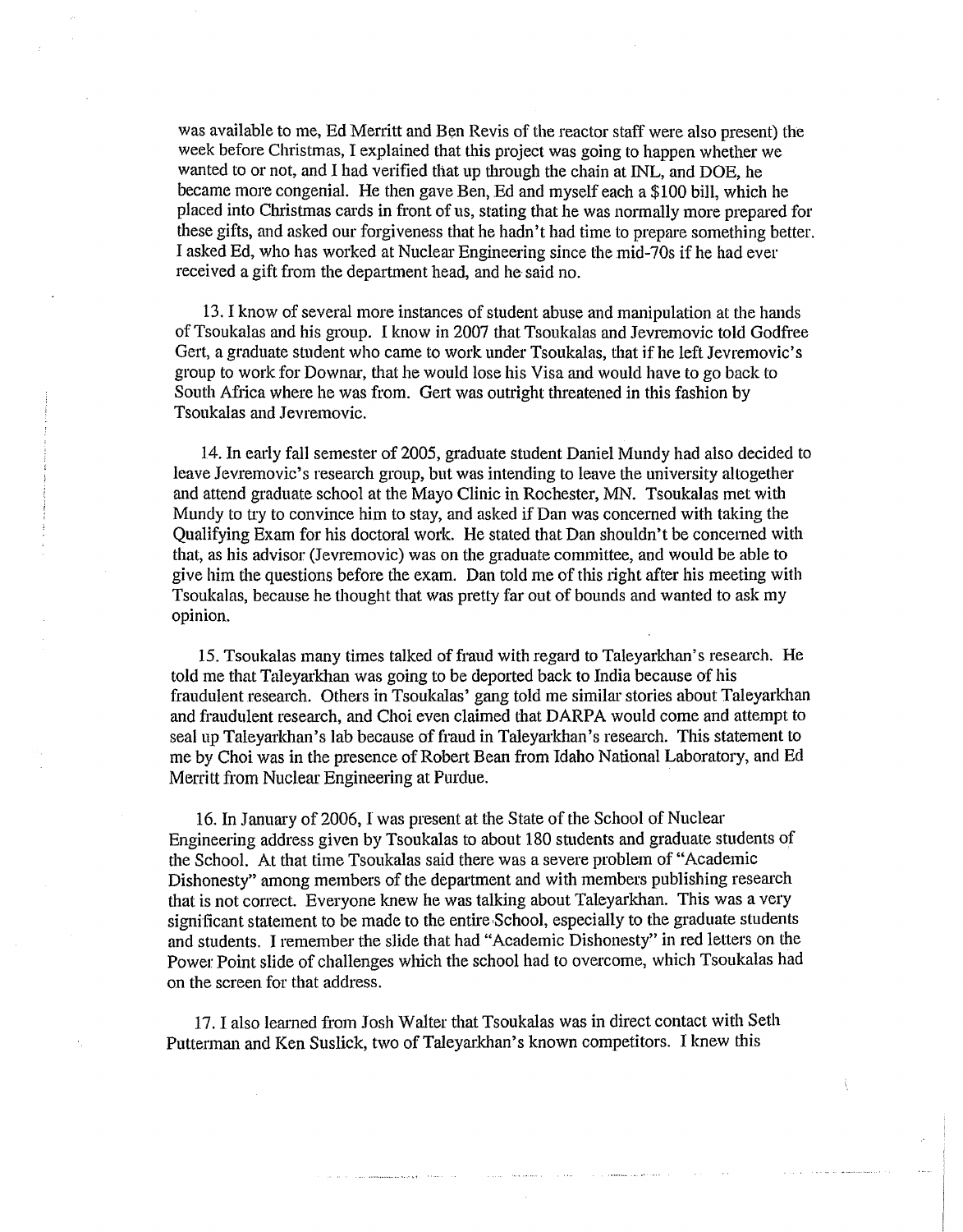was available to me, Ed Merritt and Ben Revis of the reactor staff were also present) the week before Christmas, I explained that this project was going to happen whether we wanted to or not, and I had verified that up through the chain at INL, and DOE, he became more congenial. He then gave Ben, Ed and myself each a \$100 bill, which he placed into Christmas cards in front of us, stating that he was normally more prepared for these gifts, and asked our forgiveness that he hadn't had time to prepare something better. I asked Ed, who has worked at Nuclear Engineering since the mid-70s if he had ever received a gift from the department head, and he said no.

13. I know of several more instances of student abuse and manipulation at the hands ofTsoukalas and his group. I know in 2007 that Tsoukalas and Jevremovic told Godfree Gert, a graduate student who came to work under Tsoukalas, that if he left Jevremovic's group to work for Downar, that he would lose his Visa and would have to go back to South Africa where he was from. Gert was outright threatened in this fashion by Tsoukalas and Jevremovic.

14. In early fall semester of 2005, graduate student Daniel Mundy had also decided to leave Jevremovic's research group, but was intending to leave the university altogether and attend graduate school at the Mayo Clinic in Rochester, MN. Tsoukalas met with Mundy to try to convince him to stay, and asked if Dan was concerned with taking the Qualifying Exam for his doctoral work. He stated that Dan shouldn't be concerned with that, as his advisor (Jevremovic) was on the graduate committee, and would be able to give him the questions before the exam. Dan told me of this right after his meeting with Tsoukalas, because he thought that was pretty far out of bounds and wanted to ask my opinion.

15. Tsoukalas many times talked of fraud with regard to Taleyarkhan's research. He told me that Taleyarkhan was going to be deported back to India because of his fraudulent research. Others in Tsoukalas' gang told me similar stories about Taleyarkhan and fraudulent research, and Choi even claimed that DARPA would come and attempt to seal up Taleyarkhan's lab because of fraud in Taleyarkhan's research. This statement to me by Choi was in the presence of Robert Bean from Idaho National Laboratory, and Ed Merritt from Nuclear Engineering at Purdue.

16. In January of 2006, I was present at the State of the School of Nuclear Engineering address given by Tsoukalas to about 180 students and graduate students of the School. At that time Tsoukalas said there was a severe problem of "Academic Dishonesty" among members of the department and with members publishing research that is not correct. Everyone knew he was talking about Taleyarkhan. This was a very significant statement to be made to the entire School, especially to the graduate students and students. I remember the slide that had "Academic Dishonesty" in red letters on the Power Point slide of challenges which the school had to overcome, which Tsoukalas had on the screen for that address.

17. I also learned from Josh Walter that Tsoukalas was in direct contact with Seth Putterman and Ken Suslick, two of Taleyarkhan's known competitors. I knew this

and the component of the state of the component of the component of the component of the component of the component of the component of the component of the component of the component of the component of the component of t